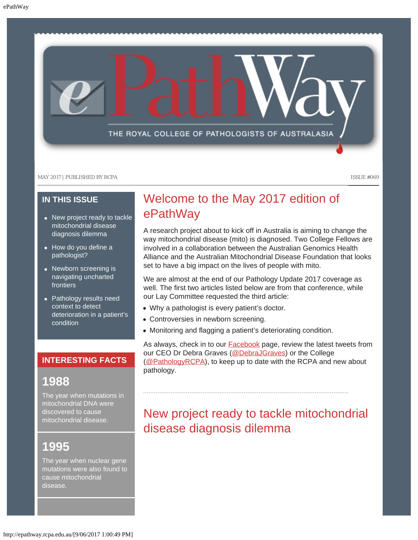

### **IN THIS ISSUE**

- [New project ready to tackle](#page-0-0) [mitochondrial disease](#page-0-0) [diagnosis dilemma](#page-0-0)
- [How do you define a](#page-1-0) [pathologist?](#page-1-0)
- [Newborn screening is](#page-2-0) [navigating uncharted](#page-2-0) [frontiers](#page-2-0)
- [Pathology results need](#page-2-1) [context to detect](#page-2-1) [deterioration in a patient's](#page-2-1) [condition](#page-2-1)

### **INTERESTING FACTS**

### **1988**

The year when mutations in mitochondrial DNA were discovered to cause mitochondrial disease.

# <span id="page-0-0"></span>**1995**

The year when nuclear gene mutations were also found to cause mitochondrial disease.

### Welcome to the May 2017 edition of ePathWay

A research project about to kick off in Australia is aiming to change the way mitochondrial disease (mito) is diagnosed. Two College Fellows are involved in a collaboration between the Australian Genomics Health Alliance and the Australian Mitochondrial Disease Foundation that looks set to have a big impact on the lives of people with mito.

We are almost at the end of our Pathology Update 2017 coverage as well. The first two articles listed below are from that conference, while our Lay Committee requested the third article:

- Why a pathologist is every patient's doctor.
- Controversies in newborn screening.
- Monitoring and flagging a patient's deteriorating condition.

As always, check in to our **Facebook** page, review the latest tweets from our CEO Dr Debra Graves [\(@DebraJGraves](https://twitter.com/search?q=%40debrajgraves&src=typd)) or the College [\(@PathologyRCPA](https://twitter.com/pathologyrcpa)), to keep up to date with the RCPA and new about pathology.

## New project ready to tackle mitochondrial disease diagnosis dilemma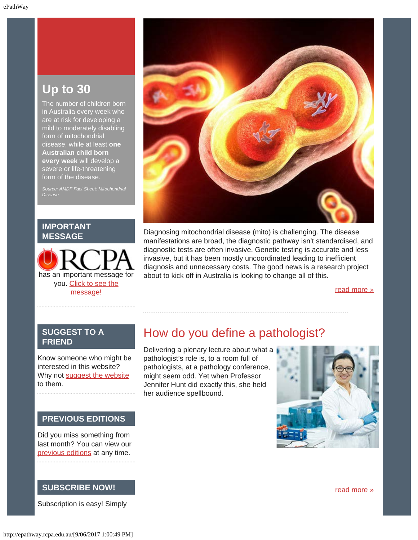### **Up to 30**

The number of children born in Australia every week who are at risk for developing a mild to moderately disabling form of mitochondrial disease, while at least **one Australian child born every week** will develop a severe or life-threatening form of the disease.

*Source: AMDF Fact Sheet: Mitochondrial Disease*

#### **IMPORTANT MESSAGE**

has an important message for you. [Click to see the](http://epathway.rcpa.edu.au/notice.html) [message!](http://epathway.rcpa.edu.au/notice.html)



Diagnosing mitochondrial disease (mito) is challenging. The disease manifestations are broad, the diagnostic pathway isn't standardised, and diagnostic tests are often invasive. Genetic testing is accurate and less invasive, but it has been mostly uncoordinated leading to inefficient diagnosis and unnecessary costs. The good news is a research project about to kick off in Australia is looking to change all of this.

[read more »](#page-5-0)

### <span id="page-1-0"></span>**SUGGEST TO A FRIEND**

Know someone who might be interested in this website? Why not [suggest the website](mailto:?Subject=I%20think%20you%20should%20read%20this%20Newsletter=
http://epathway.rcpa.edu.au/index.html) to them.

#### **PREVIOUS EDITIONS**

Did you miss something from last month? You can view our [previous editions](#page-3-0) at any time.

### **SUBSCRIBE NOW!**

Subscription is easy! Simply

### How do you define a pathologist?

Delivering a plenary lecture about what a pathologist's role is, to a room full of pathologists, at a pathology conference, might seem odd. Yet when Professor Jennifer Hunt did exactly this, she held her audience spellbound.



[read more »](#page-8-0)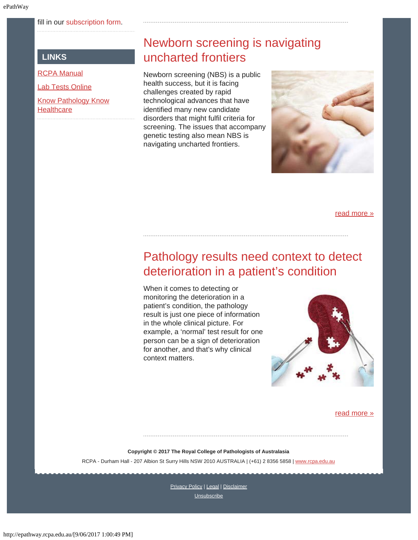#### fill in our [subscription form.](http://epathway.rcpa.edu.au/subscription.html)

### **LINKS**

<span id="page-2-0"></span>[RCPA Manual](http://rcpamanual.edu.au/)

[Lab Tests Online](http://www.labtestsonline.org.au/)

[Know Pathology Know](http://knowpathology.com.au/) **[Healthcare](http://knowpathology.com.au/)** 

### Newborn screening is navigating uncharted frontiers

Newborn screening (NBS) is a public health success, but it is facing challenges created by rapid technological advances that have identified many new candidate disorders that might fulfil criteria for screening. The issues that accompany genetic testing also mean NBS is navigating uncharted frontiers.



[read more »](#page-11-0)

## <span id="page-2-1"></span>Pathology results need context to detect deterioration in a patient's condition

When it comes to detecting or monitoring the deterioration in a patient's condition, the pathology result is just one piece of information in the whole clinical picture. For example, a 'normal' test result for one person can be a sign of deterioration for another, and that's why clinical context matters.



[read more »](#page-13-0)

**Copyright © 2017 The Royal College of Pathologists of Australasia** RCPA - Durham Hall - 207 Albion St Surry Hills NSW 2010 AUSTRALIA | (+61) 2 8356 5858 | [www.rcpa.edu.au](https://www.rcpa.edu.au/)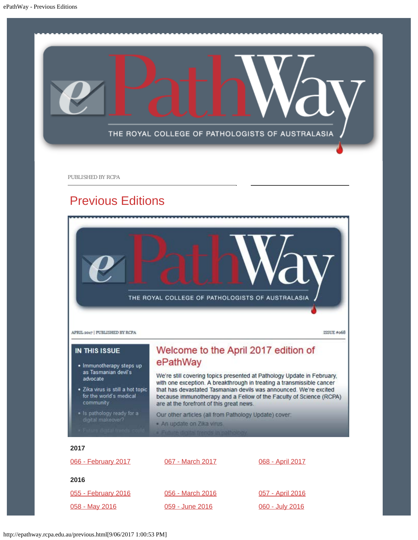<span id="page-3-0"></span>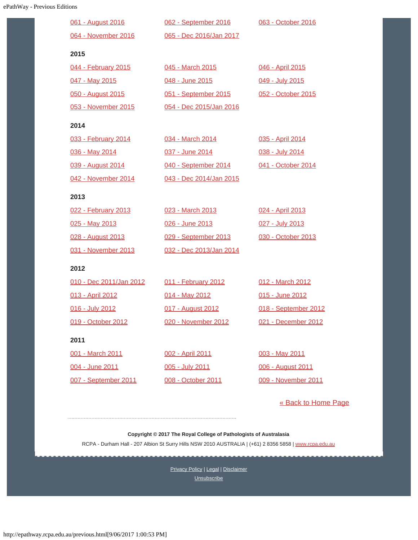| 061 - August 2016       | 062 - September 2016    | 063 - October 2016   |
|-------------------------|-------------------------|----------------------|
| 064 - November 2016     | 065 - Dec 2016/Jan 2017 |                      |
| 2015                    |                         |                      |
| 044 - February 2015     | 045 - March 2015        | 046 - April 2015     |
| 047 - May 2015          | 048 - June 2015         | 049 - July 2015      |
| 050 - August 2015       | 051 - September 2015    | 052 - October 2015   |
| 053 - November 2015     | 054 - Dec 2015/Jan 2016 |                      |
| 2014                    |                         |                      |
| 033 - February 2014     | 034 - March 2014        | 035 - April 2014     |
| 036 - May 2014          | 037 - June 2014         | 038 - July 2014      |
| 039 - August 2014       | 040 - September 2014    | 041 - October 2014   |
| 042 - November 2014     | 043 - Dec 2014/Jan 2015 |                      |
| 2013                    |                         |                      |
| 022 - February 2013     | 023 - March 2013        | 024 - April 2013     |
| 025 - May 2013          | 026 - June 2013         | 027 - July 2013      |
| 028 - August 2013       | 029 - September 2013    | 030 - October 2013   |
| 031 - November 2013     | 032 - Dec 2013/Jan 2014 |                      |
| 2012                    |                         |                      |
| 010 - Dec 2011/Jan 2012 | 011 - February 2012     | 012 - March 2012     |
| 013 - April 2012        | 014 - May 2012          | 015 - June 2012      |
| 016 - July 2012         | 017 - August 2012       | 018 - September 2012 |
| 019 - October 2012      | 020 - November 2012     | 021 - December 2012  |
| 2011                    |                         |                      |
| 001 - March 2011        | 002 - April 2011        | 003 - May 2011       |
| 004 - June 2011         | 005 - July 2011         | 006 - August 2011    |
| 007 - September 2011    | 008 - October 2011      | 009 - November 2011  |

[« Back to Home Page](http://epathway.rcpa.edu.au/index.html)

**Copyright © 2017 The Royal College of Pathologists of Australasia**

RCPA - Durham Hall - 207 Albion St Surry Hills NSW 2010 AUSTRALIA | (+61) 2 8356 5858 | [www.rcpa.edu.au](https://www.rcpa.edu.au/)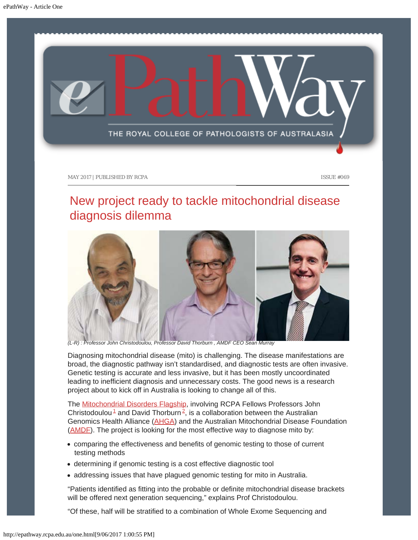<span id="page-5-0"></span>

## New project ready to tackle mitochondrial disease diagnosis dilemma



*(L-R) : Professor John Christodoulou, Professor David Thorburn , AMDF CEO Sean Murray*

Diagnosing mitochondrial disease (mito) is challenging. The disease manifestations are broad, the diagnostic pathway isn't standardised, and diagnostic tests are often invasive. Genetic testing is accurate and less invasive, but it has been mostly uncoordinated leading to inefficient diagnosis and unnecessary costs. The good news is a research project about to kick off in Australia is looking to change all of this.

<span id="page-5-1"></span>The [Mitochondrial Disorders Flagship](https://www.australiangenomics.org.au/our-research/rare-disease-flagship/#program-1317), involving RCPA Fellows Professors John Christodoulou<sup>[1](#page-6-0)</sup> and David Thorburn<sup>[2](#page-6-1)</sup>, is a collaboration between the Australian Genomics Health Alliance [\(AHGA](https://www.australiangenomics.org.au/about-us/our-people/)) and the Australian Mitochondrial Disease Foundation [\(AMDF](http://www.amdf.org.au/agha-amdf-genetic-testing-partnership/)). The project is looking for the most effective way to diagnose mito by:

- comparing the effectiveness and benefits of genomic testing to those of current testing methods
- determining if genomic testing is a cost effective diagnostic tool
- addressing issues that have plagued genomic testing for mito in Australia.

"Patients identified as fitting into the probable or definite mitochondrial disease brackets will be offered next generation sequencing," explains Prof Christodoulou.

"Of these, half will be stratified to a combination of Whole Exome Sequencing and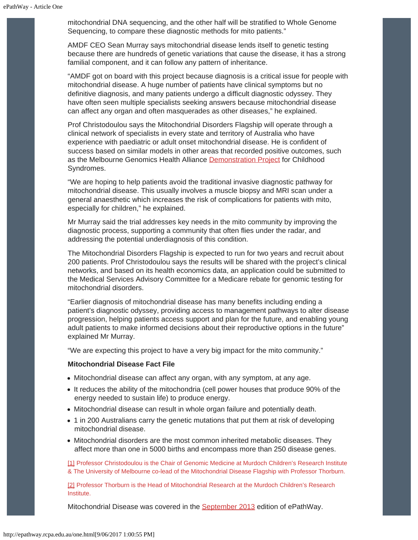mitochondrial DNA sequencing, and the other half will be stratified to Whole Genome Sequencing, to compare these diagnostic methods for mito patients."

AMDF CEO Sean Murray says mitochondrial disease lends itself to genetic testing because there are hundreds of genetic variations that cause the disease, it has a strong familial component, and it can follow any pattern of inheritance.

"AMDF got on board with this project because diagnosis is a critical issue for people with mitochondrial disease. A huge number of patients have clinical symptoms but no definitive diagnosis, and many patients undergo a difficult diagnostic odyssey. They have often seen multiple specialists seeking answers because mitochondrial disease can affect any organ and often masquerades as other diseases," he explained.

Prof Christodoulou says the Mitochondrial Disorders Flagship will operate through a clinical network of specialists in every state and territory of Australia who have experience with paediatric or adult onset mitochondrial disease. He is confident of success based on similar models in other areas that recorded positive outcomes, such as the Melbourne Genomics Health Alliance [Demonstration Project](http://www.melbournegenomics.org.au/our-work/demonstration-project) for Childhood Syndromes.

"We are hoping to help patients avoid the traditional invasive diagnostic pathway for mitochondrial disease. This usually involves a muscle biopsy and MRI scan under a general anaesthetic which increases the risk of complications for patients with mito, especially for children," he explained.

Mr Murray said the trial addresses key needs in the mito community by improving the diagnostic process, supporting a community that often flies under the radar, and addressing the potential underdiagnosis of this condition.

The Mitochondrial Disorders Flagship is expected to run for two years and recruit about 200 patients. Prof Christodoulou says the results will be shared with the project's clinical networks, and based on its health economics data, an application could be submitted to the Medical Services Advisory Committee for a Medicare rebate for genomic testing for mitochondrial disorders.

"Earlier diagnosis of mitochondrial disease has many benefits including ending a patient's diagnostic odyssey, providing access to management pathways to alter disease progression, helping patients access support and plan for the future, and enabling young adult patients to make informed decisions about their reproductive options in the future" explained Mr Murray.

"We are expecting this project to have a very big impact for the mito community."

#### **Mitochondrial Disease Fact File**

- Mitochondrial disease can affect any organ, with any symptom, at any age.
- It reduces the ability of the mitochondria (cell power houses that produce 90% of the energy needed to sustain life) to produce energy.
- Mitochondrial disease can result in whole organ failure and potentially death.
- 1 in 200 Australians carry the genetic mutations that put them at risk of developing mitochondrial disease.
- Mitochondrial disorders are the most common inherited metabolic diseases. They affect more than one in 5000 births and encompass more than 250 disease genes.

<span id="page-6-0"></span>[\[1\]](#page-5-1) Professor Christodoulou is the Chair of Genomic Medicine at Murdoch Children's Research Institute & The University of Melbourne co-lead of the Mitochondrial Disease Flagship with Professor Thorburn.

<span id="page-6-1"></span>[\[2\]](#page-5-1) Professor Thorburn is the Head of Mitochondrial Research at the Murdoch Children's Research Institute.

Mitochondrial Disease was covered in the [September 2013](http://www.rcpa.edu.au/getattachment/ef60bc2c-c9af-462e-b734-8c17fff28d25/ePathway-Issue-029.aspx) edition of ePathWay.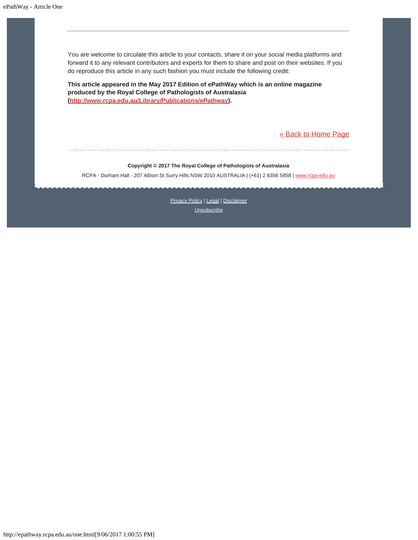You are welcome to circulate this article to your contacts, share it on your social media platforms and forward it to any relevant contributors and experts for them to share and post on their websites. If you do reproduce this article in any such fashion you must include the following credit:

**This article appeared in the May 2017 Edition of ePathWay which is an online magazine produced by the Royal College of Pathologists of Australasia [\(http://www.rcpa.edu.au/Library/Publications/ePathway](http://www.rcpa.edu.au/Library/Publications/ePathway)).**

[« Back to Home Page](http://epathway.rcpa.edu.au/index.html)

#### **Copyright © 2017 The Royal College of Pathologists of Australasia**

RCPA - Durham Hall - 207 Albion St Surry Hills NSW 2010 AUSTRALIA | (+61) 2 8356 5858 | [www.rcpa.edu.au](https://www.rcpa.edu.au/)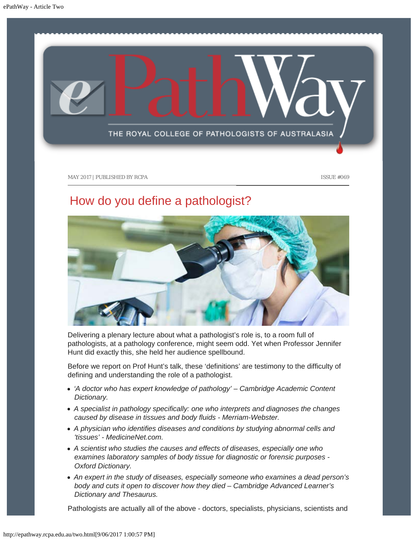<span id="page-8-0"></span>

# How do you define a pathologist?



Delivering a plenary lecture about what a pathologist's role is, to a room full of pathologists, at a pathology conference, might seem odd. Yet when Professor Jennifer Hunt did exactly this, she held her audience spellbound.

Before we report on Prof Hunt's talk, these 'definitions' are testimony to the difficulty of defining and understanding the role of a pathologist.

- *'A doctor who has expert knowledge of pathology' Cambridge Academic Content Dictionary.*
- *A specialist in pathology specifically: one who interprets and diagnoses the changes caused by disease in tissues and body fluids - Merriam-Webster.*
- *A physician who identifies diseases and conditions by studying abnormal cells and 'tissues' - MedicineNet.com.*
- *A scientist who studies the causes and effects of diseases, especially one who examines laboratory samples of body tissue for diagnostic or forensic purposes - Oxford Dictionary.*
- *An expert in the study of diseases, especially someone who examines a dead person's body and cuts it open to discover how they died – Cambridge Advanced Learner's Dictionary and Thesaurus.*

Pathologists are actually all of the above - doctors, specialists, physicians, scientists and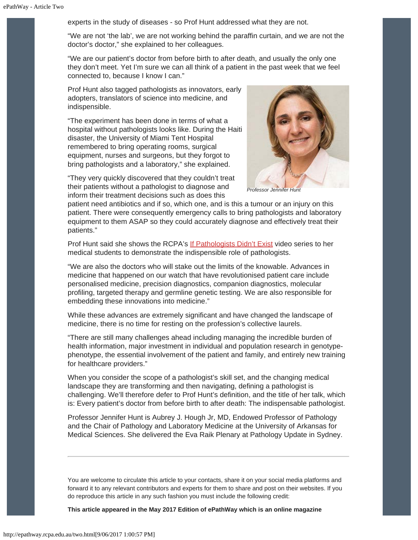experts in the study of diseases - so Prof Hunt addressed what they are not.

"We are not 'the lab', we are not working behind the paraffin curtain, and we are not the doctor's doctor," she explained to her colleagues.

"We are our patient's doctor from before birth to after death, and usually the only one they don't meet. Yet I'm sure we can all think of a patient in the past week that we feel connected to, because I know I can."

Prof Hunt also tagged pathologists as innovators, early adopters, translators of science into medicine, and indispensible.

"The experiment has been done in terms of what a hospital without pathologists looks like. During the Haiti disaster, the University of Miami Tent Hospital remembered to bring operating rooms, surgical equipment, nurses and surgeons, but they forgot to bring pathologists and a laboratory," she explained.



*Professor Jennifer Hunt*

"They very quickly discovered that they couldn't treat their patients without a pathologist to diagnose and inform their treatment decisions such as does this

patient need antibiotics and if so, which one, and is this a tumour or an injury on this patient. There were consequently emergency calls to bring pathologists and laboratory equipment to them ASAP so they could accurately diagnose and effectively treat their patients."

Prof Hunt said she shows the RCPA's [If Pathologists Didn't Exist](http://worldwithoutpathology.rcpa.edu.au/) video series to her medical students to demonstrate the indispensible role of pathologists.

"We are also the doctors who will stake out the limits of the knowable. Advances in medicine that happened on our watch that have revolutionised patient care include personalised medicine, precision diagnostics, companion diagnostics, molecular profiling, targeted therapy and germline genetic testing. We are also responsible for embedding these innovations into medicine."

While these advances are extremely significant and have changed the landscape of medicine, there is no time for resting on the profession's collective laurels.

"There are still many challenges ahead including managing the incredible burden of health information, major investment in individual and population research in genotypephenotype, the essential involvement of the patient and family, and entirely new training for healthcare providers."

When you consider the scope of a pathologist's skill set, and the changing medical landscape they are transforming and then navigating, defining a pathologist is challenging. We'll therefore defer to Prof Hunt's definition, and the title of her talk, which is: Every patient's doctor from before birth to after death: The indispensable pathologist.

Professor Jennifer Hunt is Aubrey J. Hough Jr, MD, Endowed Professor of Pathology and the Chair of Pathology and Laboratory Medicine at the University of Arkansas for Medical Sciences. She delivered the Eva Raik Plenary at Pathology Update in Sydney.

You are welcome to circulate this article to your contacts, share it on your social media platforms and forward it to any relevant contributors and experts for them to share and post on their websites. If you do reproduce this article in any such fashion you must include the following credit:

**This article appeared in the May 2017 Edition of ePathWay which is an online magazine**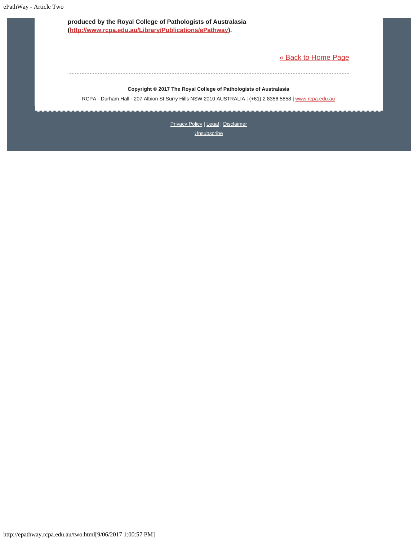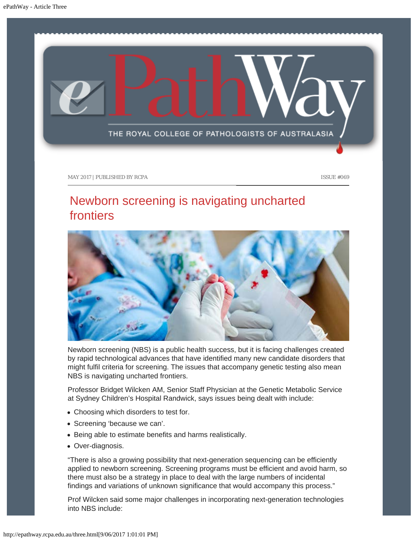<span id="page-11-0"></span>

## Newborn screening is navigating uncharted frontiers



Newborn screening (NBS) is a public health success, but it is facing challenges created by rapid technological advances that have identified many new candidate disorders that might fulfil criteria for screening. The issues that accompany genetic testing also mean NBS is navigating uncharted frontiers.

Professor Bridget Wilcken AM, Senior Staff Physician at the Genetic Metabolic Service at Sydney Children's Hospital Randwick, says issues being dealt with include:

- Choosing which disorders to test for.
- Screening 'because we can'.
- Being able to estimate benefits and harms realistically.
- Over-diagnosis.

"There is also a growing possibility that next-generation sequencing can be efficiently applied to newborn screening. Screening programs must be efficient and avoid harm, so there must also be a strategy in place to deal with the large numbers of incidental findings and variations of unknown significance that would accompany this process."

Prof Wilcken said some major challenges in incorporating next-generation technologies into NBS include: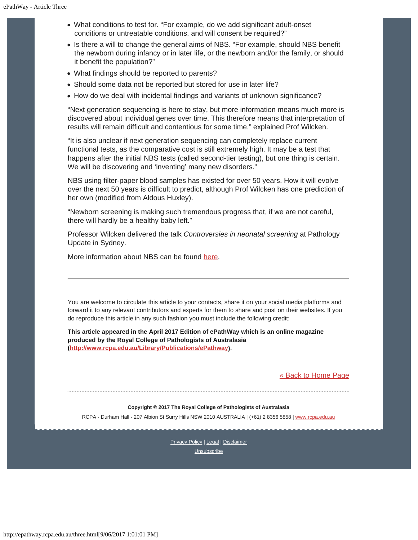- What conditions to test for. "For example, do we add significant adult-onset conditions or untreatable conditions, and will consent be required?"
- Is there a will to change the general aims of NBS. "For example, should NBS benefit the newborn during infancy or in later life, or the newborn and/or the family, or should it benefit the population?"
- What findings should be reported to parents?
- Should some data not be reported but stored for use in later life?
- How do we deal with incidental findings and variants of unknown significance?

"Next generation sequencing is here to stay, but more information means much more is discovered about individual genes over time. This therefore means that interpretation of results will remain difficult and contentious for some time," explained Prof Wilcken.

"It is also unclear if next generation sequencing can completely replace current functional tests, as the comparative cost is still extremely high. It may be a test that happens after the initial NBS tests (called second-tier testing), but one thing is certain. We will be discovering and 'inventing' many new disorders."

NBS using filter-paper blood samples has existed for over 50 years. How it will evolve over the next 50 years is difficult to predict, although Prof Wilcken has one prediction of her own (modified from Aldous Huxley).

"Newborn screening is making such tremendous progress that, if we are not careful, there will hardly be a healthy baby left."

Professor Wilcken delivered the talk *Controversies in neonatal screening* at Pathology Update in Sydney.

More information about NBS can be found [here](http://www.genetics.edu.au/Genetic-conditions-support-groups/FactSheet20NewbornScreeningforGeneticConditions.pdf).

You are welcome to circulate this article to your contacts, share it on your social media platforms and forward it to any relevant contributors and experts for them to share and post on their websites. If you do reproduce this article in any such fashion you must include the following credit:

**This article appeared in the April 2017 Edition of ePathWay which is an online magazine produced by the Royal College of Pathologists of Australasia [\(http://www.rcpa.edu.au/Library/Publications/ePathway](http://www.rcpa.edu.au/Library/Publications/ePathway)).**

[« Back to Home Page](http://epathway.rcpa.edu.au/index.html)

#### **Copyright © 2017 The Royal College of Pathologists of Australasia**

RCPA - Durham Hall - 207 Albion St Surry Hills NSW 2010 AUSTRALIA | (+61) 2 8356 5858 | [www.rcpa.edu.au](https://www.rcpa.edu.au/)

[Privacy Policy](https://www.rcpa.edu.au/Content-Library/Privacy.aspx) | [Legal](https://www.rcpa.edu.au/Legal.aspx) | [Disclaimer](https://www.rcpa.edu.au/Disclaimer.aspx)

**[Unsubscribe](http://epathway.rcpa.edu.au/subscription.html)**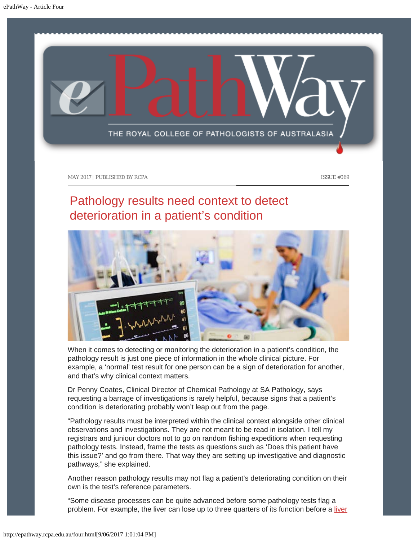<span id="page-13-0"></span>

## Pathology results need context to detect deterioration in a patient's condition



When it comes to detecting or monitoring the deterioration in a patient's condition, the pathology result is just one piece of information in the whole clinical picture. For example, a 'normal' test result for one person can be a sign of deterioration for another, and that's why clinical context matters.

Dr Penny Coates, Clinical Director of Chemical Pathology at SA Pathology, says requesting a barrage of investigations is rarely helpful, because signs that a patient's condition is deteriorating probably won't leap out from the page.

"Pathology results must be interpreted within the clinical context alongside other clinical observations and investigations. They are not meant to be read in isolation. I tell my registrars and juniour doctors not to go on random fishing expeditions when requesting pathology tests. Instead, frame the tests as questions such as 'Does this patient have this issue?' and go from there. That way they are setting up investigative and diagnostic pathways," she explained.

Another reason pathology results may not flag a patient's deteriorating condition on their own is the test's reference parameters.

"Some disease processes can be quite advanced before some pathology tests flag a problem. For example, the [liver](http://www.labtestsonline.org.au/learning/test-index/liver-function) can lose up to three quarters of its function before a liver